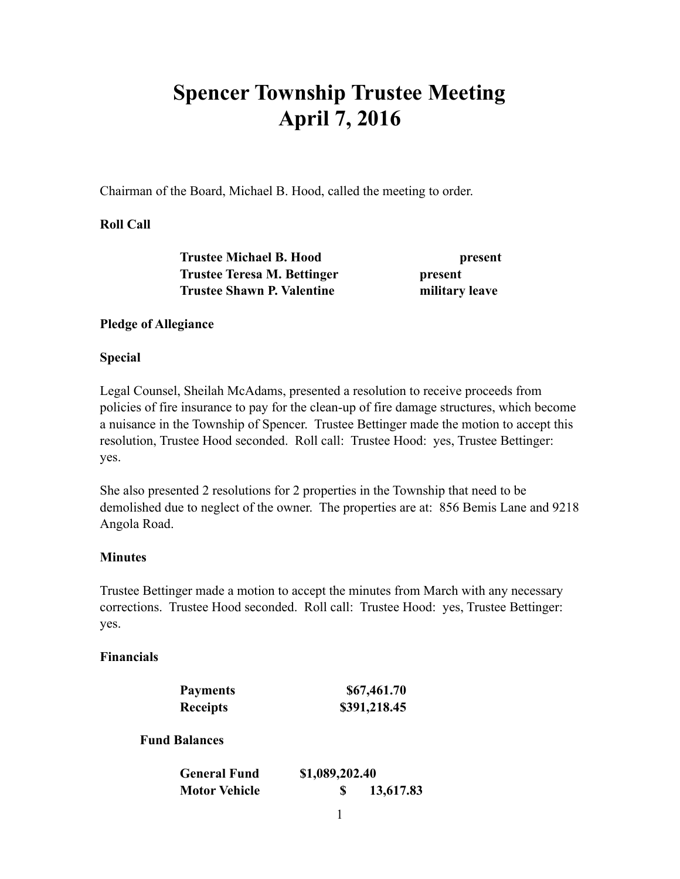# **Spencer Township Trustee Meeting April 7, 2016**

Chairman of the Board, Michael B. Hood, called the meeting to order.

## **Roll Call**

 **Trustee Michael B. Hood present Trustee Teresa M. Bettinger**  present  **Trustee Shawn P. Valentine military leave** 

## **Pledge of Allegiance**

## **Special**

Legal Counsel, Sheilah McAdams, presented a resolution to receive proceeds from policies of fire insurance to pay for the clean-up of fire damage structures, which become a nuisance in the Township of Spencer. Trustee Bettinger made the motion to accept this resolution, Trustee Hood seconded. Roll call: Trustee Hood: yes, Trustee Bettinger: yes.

She also presented 2 resolutions for 2 properties in the Township that need to be demolished due to neglect of the owner. The properties are at: 856 Bemis Lane and 9218 Angola Road.

## **Minutes**

Trustee Bettinger made a motion to accept the minutes from March with any necessary corrections. Trustee Hood seconded. Roll call: Trustee Hood: yes, Trustee Bettinger: yes.

## **Financials**

| <b>Payments</b> | \$67,461.70  |
|-----------------|--------------|
| <b>Receipts</b> | \$391,218.45 |

 **Fund Balances** 

| <b>General Fund</b>  | \$1,089,202.40 |  |
|----------------------|----------------|--|
| <b>Motor Vehicle</b> | 13,617.83      |  |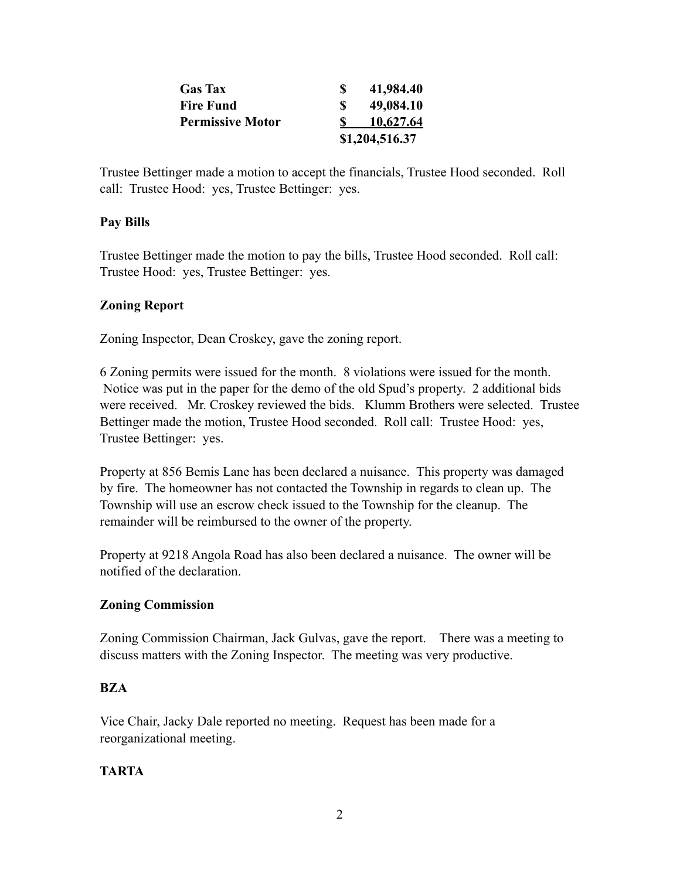|                         | \$1,204,516.37 |
|-------------------------|----------------|
| <b>Permissive Motor</b> | 10,627.64      |
| <b>Fire Fund</b>        | 49,084.10      |
| <b>Gas</b> Tax          | 41,984.40      |
|                         |                |

Trustee Bettinger made a motion to accept the financials, Trustee Hood seconded. Roll call: Trustee Hood: yes, Trustee Bettinger: yes.

## **Pay Bills**

Trustee Bettinger made the motion to pay the bills, Trustee Hood seconded. Roll call: Trustee Hood: yes, Trustee Bettinger: yes.

## **Zoning Report**

Zoning Inspector, Dean Croskey, gave the zoning report.

6 Zoning permits were issued for the month. 8 violations were issued for the month. Notice was put in the paper for the demo of the old Spud's property. 2 additional bids were received. Mr. Croskey reviewed the bids. Klumm Brothers were selected. Trustee Bettinger made the motion, Trustee Hood seconded. Roll call: Trustee Hood: yes, Trustee Bettinger: yes.

Property at 856 Bemis Lane has been declared a nuisance. This property was damaged by fire. The homeowner has not contacted the Township in regards to clean up. The Township will use an escrow check issued to the Township for the cleanup. The remainder will be reimbursed to the owner of the property.

Property at 9218 Angola Road has also been declared a nuisance. The owner will be notified of the declaration.

## **Zoning Commission**

Zoning Commission Chairman, Jack Gulvas, gave the report. There was a meeting to discuss matters with the Zoning Inspector. The meeting was very productive.

## **BZA**

Vice Chair, Jacky Dale reported no meeting. Request has been made for a reorganizational meeting.

## **TARTA**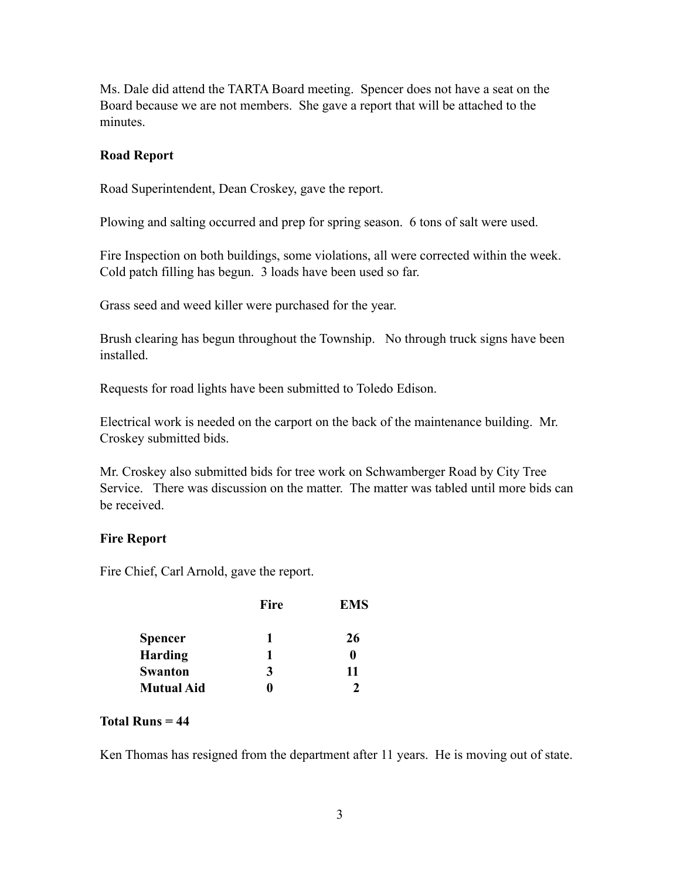Ms. Dale did attend the TARTA Board meeting. Spencer does not have a seat on the Board because we are not members. She gave a report that will be attached to the minutes.

#### **Road Report**

Road Superintendent, Dean Croskey, gave the report.

Plowing and salting occurred and prep for spring season. 6 tons of salt were used.

Fire Inspection on both buildings, some violations, all were corrected within the week. Cold patch filling has begun. 3 loads have been used so far.

Grass seed and weed killer were purchased for the year.

Brush clearing has begun throughout the Township. No through truck signs have been installed.

Requests for road lights have been submitted to Toledo Edison.

Electrical work is needed on the carport on the back of the maintenance building. Mr. Croskey submitted bids.

Mr. Croskey also submitted bids for tree work on Schwamberger Road by City Tree Service. There was discussion on the matter. The matter was tabled until more bids can be received.

## **Fire Report**

Fire Chief, Carl Arnold, gave the report.

|                   | <b>Fire</b> | <b>EMS</b> |
|-------------------|-------------|------------|
| <b>Spencer</b>    | 1           | 26         |
| <b>Harding</b>    | 1           | 0          |
| <b>Swanton</b>    | 3           | 11         |
| <b>Mutual Aid</b> |             |            |

## **Total Runs = 44**

Ken Thomas has resigned from the department after 11 years. He is moving out of state.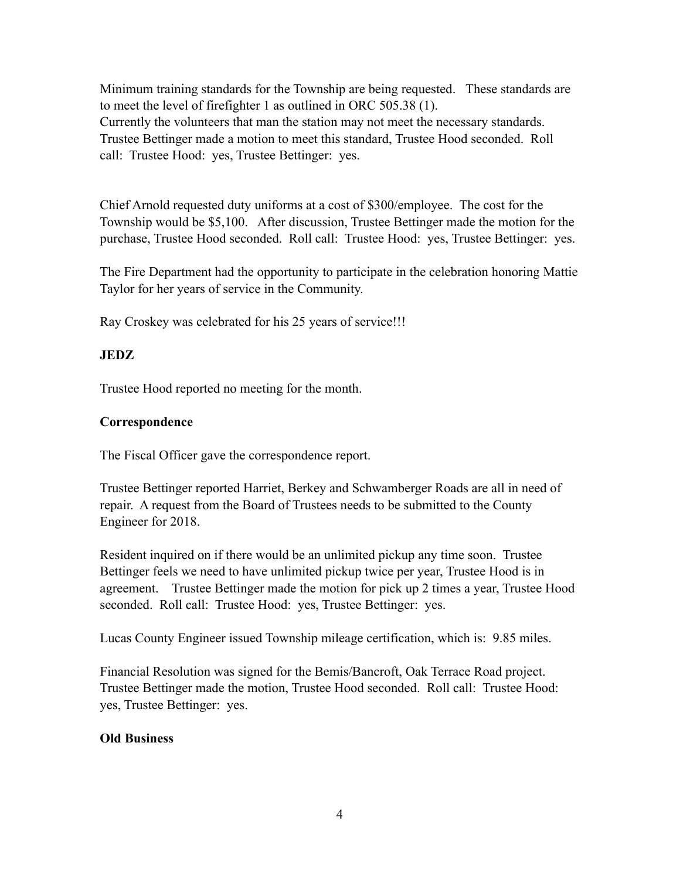Minimum training standards for the Township are being requested. These standards are to meet the level of firefighter 1 as outlined in ORC 505.38 (1). Currently the volunteers that man the station may not meet the necessary standards. Trustee Bettinger made a motion to meet this standard, Trustee Hood seconded. Roll call: Trustee Hood: yes, Trustee Bettinger: yes.

Chief Arnold requested duty uniforms at a cost of \$300/employee. The cost for the Township would be \$5,100. After discussion, Trustee Bettinger made the motion for the purchase, Trustee Hood seconded. Roll call: Trustee Hood: yes, Trustee Bettinger: yes.

The Fire Department had the opportunity to participate in the celebration honoring Mattie Taylor for her years of service in the Community.

Ray Croskey was celebrated for his 25 years of service!!!

# **JEDZ**

Trustee Hood reported no meeting for the month.

# **Correspondence**

The Fiscal Officer gave the correspondence report.

Trustee Bettinger reported Harriet, Berkey and Schwamberger Roads are all in need of repair. A request from the Board of Trustees needs to be submitted to the County Engineer for 2018.

Resident inquired on if there would be an unlimited pickup any time soon. Trustee Bettinger feels we need to have unlimited pickup twice per year, Trustee Hood is in agreement. Trustee Bettinger made the motion for pick up 2 times a year, Trustee Hood seconded. Roll call: Trustee Hood: yes, Trustee Bettinger: yes.

Lucas County Engineer issued Township mileage certification, which is: 9.85 miles.

Financial Resolution was signed for the Bemis/Bancroft, Oak Terrace Road project. Trustee Bettinger made the motion, Trustee Hood seconded. Roll call: Trustee Hood: yes, Trustee Bettinger: yes.

# **Old Business**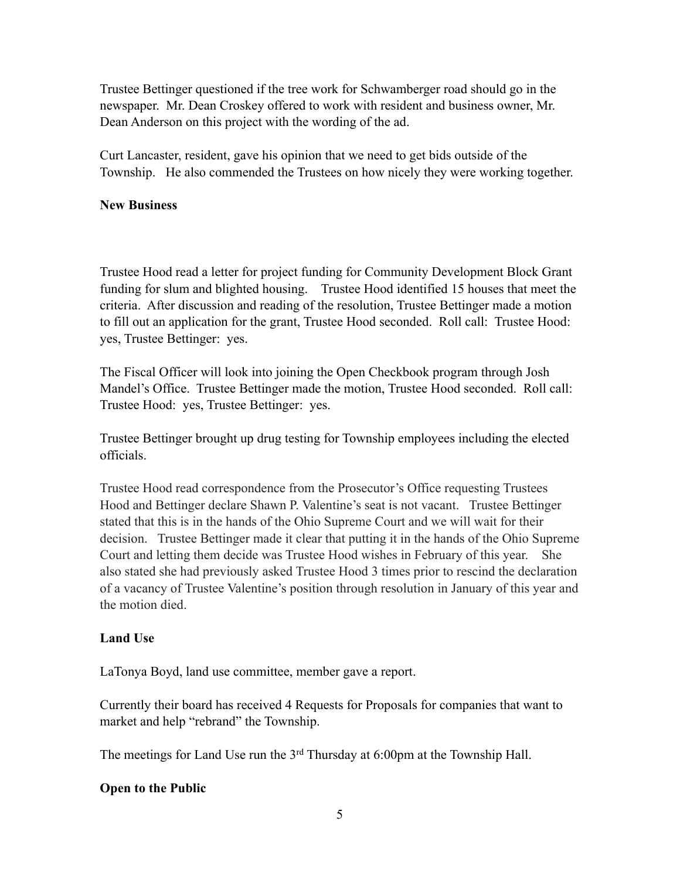Trustee Bettinger questioned if the tree work for Schwamberger road should go in the newspaper. Mr. Dean Croskey offered to work with resident and business owner, Mr. Dean Anderson on this project with the wording of the ad.

Curt Lancaster, resident, gave his opinion that we need to get bids outside of the Township. He also commended the Trustees on how nicely they were working together.

## **New Business**

Trustee Hood read a letter for project funding for Community Development Block Grant funding for slum and blighted housing. Trustee Hood identified 15 houses that meet the criteria. After discussion and reading of the resolution, Trustee Bettinger made a motion to fill out an application for the grant, Trustee Hood seconded. Roll call: Trustee Hood: yes, Trustee Bettinger: yes.

The Fiscal Officer will look into joining the Open Checkbook program through Josh Mandel's Office. Trustee Bettinger made the motion, Trustee Hood seconded. Roll call: Trustee Hood: yes, Trustee Bettinger: yes.

Trustee Bettinger brought up drug testing for Township employees including the elected officials.

Trustee Hood read correspondence from the Prosecutor's Office requesting Trustees Hood and Bettinger declare Shawn P. Valentine's seat is not vacant. Trustee Bettinger stated that this is in the hands of the Ohio Supreme Court and we will wait for their decision. Trustee Bettinger made it clear that putting it in the hands of the Ohio Supreme Court and letting them decide was Trustee Hood wishes in February of this year. She also stated she had previously asked Trustee Hood 3 times prior to rescind the declaration of a vacancy of Trustee Valentine's position through resolution in January of this year and the motion died.

## **Land Use**

LaTonya Boyd, land use committee, member gave a report.

Currently their board has received 4 Requests for Proposals for companies that want to market and help "rebrand" the Township.

The meetings for Land Use run the 3<sup>rd</sup> Thursday at 6:00pm at the Township Hall.

## **Open to the Public**